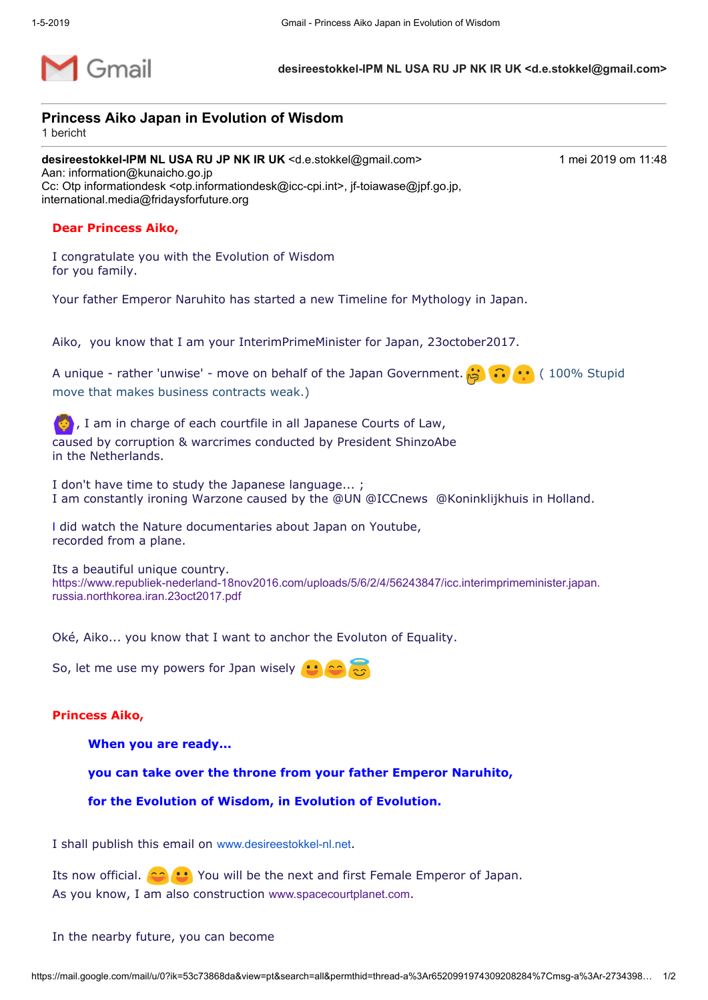

**desireestokkel-IPM NL USA RU JP NK IR UK <d.e.stokkel@gmail.com>**

## **Princess Aiko Japan in Evolution of Wisdom**

1 bericht

**desireestokkel-IPM NL USA RU JP NK IR UK <d.e.stokkel@gmail.com> 1 mei 2019 om 11:48** Aan: information@kunaicho.go.jp Cc: Otp informationdesk <otp.informationdesk@icc-cpi.int>, jf-toiawase@jpf.go.jp, international.media@fridaysforfuture.org

## **Dear Princess Aiko,**

I congratulate you with the Evolution of Wisdom for you family.

Your father Emperor Naruhito has started a new Timeline for Mythology in Japan.

Aiko, you know that I am your InterimPrimeMinister for Japan, 23october2017.

A unique - rather 'unwise' - move on behalf of the Japan Government. ( 100  $\cdots$  (100% Stupid move that makes business contracts weak.)

 $\ket{\bullet}$ , I am in charge of each courtfile in all Japanese Courts of Law, caused by corruption & warcrimes conducted by President ShinzoAbe in the Netherlands.

I don't have time to study the Japanese language... ; I am constantly ironing Warzone caused by the @UN @ICCnews @Koninklijkhuis in Holland.

I did watch the Nature documentaries about Japan on Youtube, recorded from a plane.

Its a beautiful unique country. [https://www.republiek-nederland-18nov2016.com/uploads/5/6/2/4/56243847/icc.interimprimeminister.japan.](https://www.republiek-nederland-18nov2016.com/uploads/5/6/2/4/56243847/icc.interimprimeminister.japan.russia.northkorea.iran.23oct2017.pdf) russia.northkorea.iran.23oct2017.pdf

Oké, Aiko... you know that I want to anchor the Evoluton of Equality.

So, let me use my powers for Jpan wisely  $\cdot \cdot$ 

## **Princess Aiko,**

**When you are ready...** 

**you can take over the throne from your father Emperor Naruhito,** 

**for the Evolution of Wisdom, in Evolution of Evolution.** 

I shall publish this email on [www.desireestokkel-nl.net](http://www.desireestokkel-nl.net/).

Its now official. **(2) U** You will be the next and first Female Emperor of Japan. As you know, I am also construction [www.spacecourtplanet.com](http://www.spacecourtplanet.com/).

In the nearby future, you can become